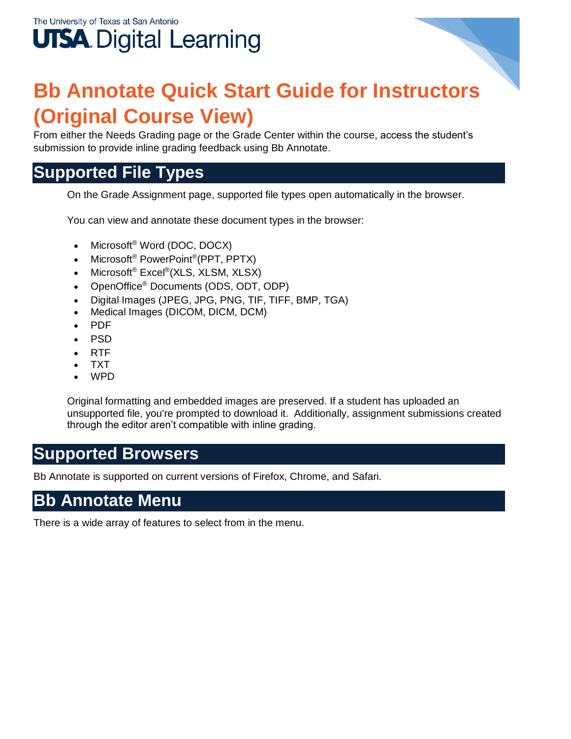## The University of Texas at San Antonio **UTSA.** Digital Learning

## **Bb Annotate Quick Start Guide for Instructors (Original Course View)**

From either the Needs Grading page or the Grade Center within the course, access the student's submission to provide inline grading feedback using Bb Annotate.

## **Supported File Types**

On the Grade Assignment page, supported file types open automatically in the browser.

You can view and annotate these document types in the browser:

- Microsoft<sup>®</sup> Word (DOC, DOCX)
- Microsoft<sup>®</sup> PowerPoint<sup>®</sup>(PPT, PPTX)
- Microsoft<sup>®</sup> Excel<sup>®</sup>(XLS, XLSM, XLSX)
- OpenOffice® Documents (ODS, ODT, ODP)
- Digital Images (JPEG, JPG, PNG, TIF, TIFF, BMP, TGA)
- Medical Images (DICOM, DICM, DCM)
- PDF
- PSD
- RTF
- TXT
- **WPD**

Original formatting and embedded images are preserved. If a student has uploaded an unsupported file, you're prompted to download it. Additionally, assignment submissions created through the editor aren't compatible with inline grading.

## **Supported Browsers**

Bb Annotate is supported on current versions of Firefox, Chrome, and Safari.

## **Bb Annotate Menu**

There is a wide array of features to select from in the menu.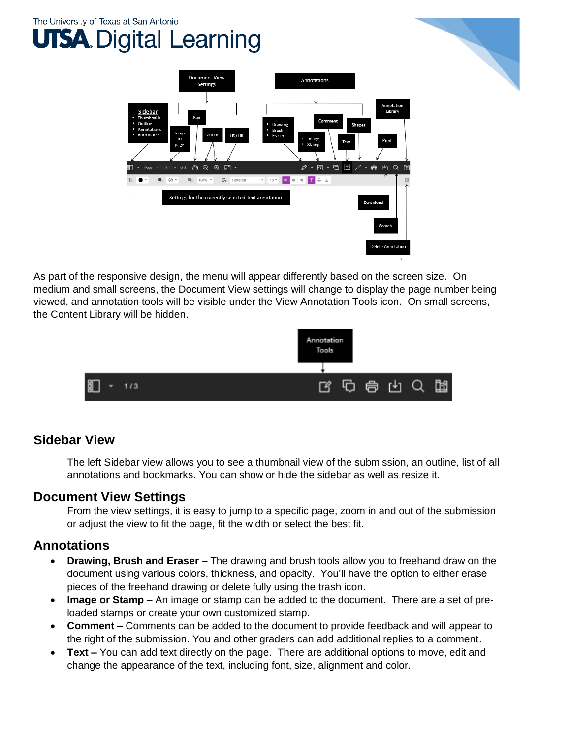## The University of Texas at San Antonio **TSA.** Digital Learning



As part of the responsive design, the menu will appear differently based on the screen size. On medium and small screens, the Document View settings will change to display the page number being viewed, and annotation tools will be visible under the View Annotation Tools icon. On small screens, the Content Library will be hidden.



#### **Sidebar View**

The left Sidebar view allows you to see a thumbnail view of the submission, an outline, list of all annotations and bookmarks. You can show or hide the sidebar as well as resize it.

#### **Document View Settings**

From the view settings, it is easy to jump to a specific page, zoom in and out of the submission or adjust the view to fit the page, fit the width or select the best fit.

#### **Annotations**

- **Drawing, Brush and Eraser –** The drawing and brush tools allow you to freehand draw on the document using various colors, thickness, and opacity. You'll have the option to either erase pieces of the freehand drawing or delete fully using the trash icon.
- **Image or Stamp –** An image or stamp can be added to the document. There are a set of preloaded stamps or create your own customized stamp.
- **Comment –** Comments can be added to the document to provide feedback and will appear to the right of the submission. You and other graders can add additional replies to a comment.
- **Text –** You can add text directly on the page. There are additional options to move, edit and change the appearance of the text, including font, size, alignment and color.